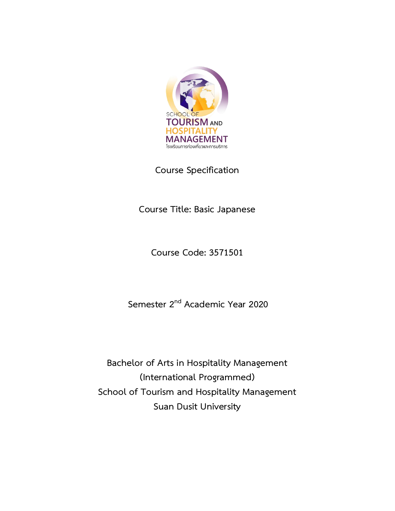

**Course Specification**

**Course Title: Basic Japanese**

**Course Code: 3571501**

**Semester 2nd Academic Year 2020**

**Bachelor of Arts in Hospitality Management (International Programmed) School of Tourism and Hospitality Management Suan Dusit University**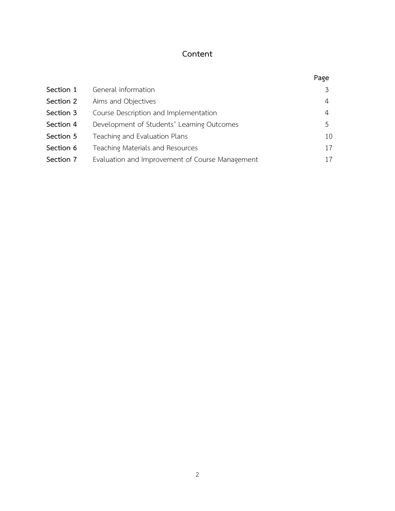## **Content**

|           |                                                 | Page |
|-----------|-------------------------------------------------|------|
| Section 1 | General information                             | 3    |
| Section 2 | Aims and Objectives                             | 4    |
| Section 3 | Course Description and Implementation           | 4    |
| Section 4 | Development of Students' Learning Outcomes      | 5    |
| Section 5 | Teaching and Evaluation Plans                   | 10   |
| Section 6 | Teaching Materials and Resources                | 17   |
| Section 7 | Evaluation and Improvement of Course Management | 17   |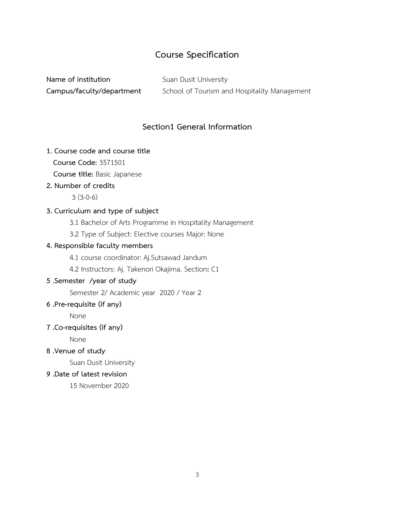# **Course Specification**

**Name of institution** Suan Dusit University **Campus/faculty/department** School of Tourism and Hospitality Management

## **Section1 General Information**

#### **1. Course code and course title**

**Course Code:** 3571501

 **Course title:** Basic Japanese

#### **2. Number of credits**

 $3(3-0-6)$ 

#### **3. Curriculum and type of subject**

- 3.1 Bachelor of Arts Programme in Hospitality Management
- 3.2 Type of Subject: Elective courses Major: None

#### **4. Responsible faculty members**

- 4.1 course coordinator: Aj.Sutsawad Jandum
- 4.2 Instructors: Aj. Takenori Okajima. Section**:** C1

## **5 .Semester /year of study**

Semester 2/ Academic year 2020 / Year 2

#### **6 .Pre-requisite (if any)**

None

## **7 .Co-requisites (if any)**

None

## **8 .Venue of study**

Suan Dusit University

#### **9 .Date of latest revision**

15 November 2020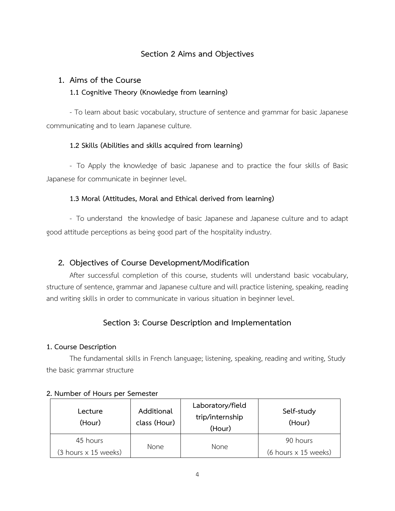## **Section 2 Aims and Objectives**

## **1. Aims of the Course**

## **1.1 Cognitive Theory (Knowledge from learning)**

- To learn about basic vocabulary, structure of sentence and grammar for basic Japanese communicating and to learn Japanese culture.

#### **1.2 Skills (Abilities and skills acquired from learning)**

- To Apply the knowledge of basic Japanese and to practice the four skills of Basic Japanese for communicate in beginner level.

#### **1.3 Moral (Attitudes, Moral and Ethical derived from learning)**

- To understand the knowledge of basic Japanese and Japanese culture and to adapt good attitude perceptions as being good part of the hospitality industry.

## **2. Objectives of Course Development/Modification**

After successful completion of this course, students will understand basic vocabulary, structure of sentence, grammar and Japanese culture and will practice listening, speaking, reading and writing skills in order to communicate in various situation in beginner level.

## **Section 3: Course Description and Implementation**

#### **1. Course Description**

The fundamental skills in French language; listening, speaking, reading and writing, Study the basic grammar structure

| Lecture<br>(Hour)                           | Additional<br>class (Hour) | Laboratory/field<br>trip/internship<br>(Hour) | Self-study<br>(Hour)                        |
|---------------------------------------------|----------------------------|-----------------------------------------------|---------------------------------------------|
| 45 hours                                    |                            | None                                          | 90 hours                                    |
| $(3 \text{ hours} \times 15 \text{ weeks})$ | None                       |                                               | $(6 \text{ hours} \times 15 \text{ weeks})$ |

#### **2. Number of Hours per Semester**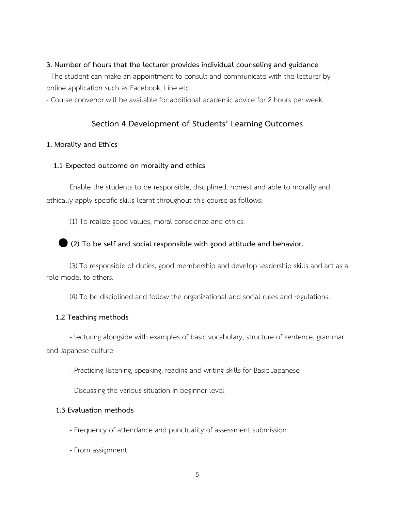#### **3. Number of hours that the lecturer provides individual counseling and guidance**

- The student can make an appointment to consult and communicate with the lecturer by online application such as Facebook, Line etc.

- Course convenor will be available for additional academic advice for 2 hours per week.

#### **Section 4 Development of Students' Learning Outcomes**

#### **1. Morality and Ethics**

#### **1.1 Expected outcome on morality and ethics**

Enable the students to be responsible, disciplined, honest and able to morally and ethically apply specific skills learnt throughout this course as follows:

(1) To realize good values, moral conscience and ethics.

#### ● **(2) To be self and social responsible with good attitude and behavior.**

(3) To responsible of duties, good membership and develop leadership skills and act as a role model to others.

(4) To be disciplined and follow the organizational and social rules and regulations.

#### **1.2 Teaching methods**

- lecturing alongside with examples of basic vocabulary, structure of sentence, grammar and Japanese culture

- Practicing listening, speaking, reading and writing skills for Basic Japanese

- Discussing the various situation in beginner level

- Frequency of attendance and punctuality of assessment submission
- From assignment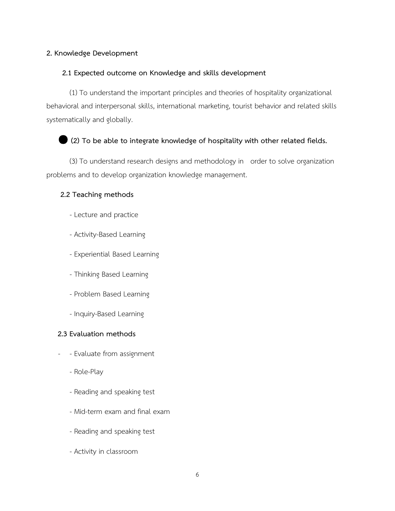## **2. Knowledge Development**

#### **2.1 Expected outcome on Knowledge and skills development**

(1) To understand the important principles and theories of hospitality organizational behavioral and interpersonal skills, international marketing, tourist behavior and related skills systematically and globally.

## ● **(2) To be able to integrate knowledge of hospitality with other related fields.**

(3) To understand research designs and methodology in order to solve organization problems and to develop organization knowledge management.

#### **2.2 Teaching methods**

- Lecture and practice
- Activity-Based Learning
- Experiential Based Learning
- Thinking Based Learning
- Problem Based Learning
- Inquiry-Based Learning

- Evaluate from assignment
	- Role-Play
	- Reading and speaking test
	- Mid-term exam and final exam
	- Reading and speaking test
	- Activity in classroom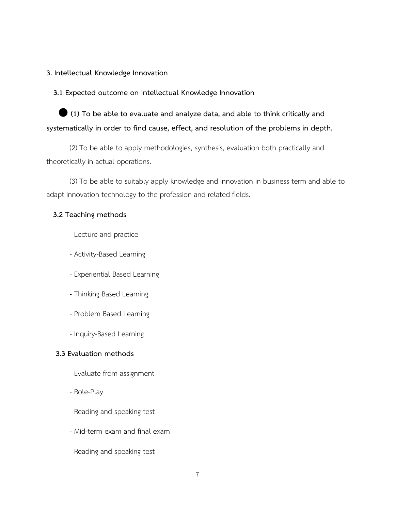#### **3. Intellectual Knowledge Innovation**

#### **3.1 Expected outcome on Intellectual Knowledge Innovation**

● **(1) To be able to evaluate and analyze data, and able to think critically and systematically in order to find cause, effect, and resolution of the problems in depth.**

(2) To be able to apply methodologies, synthesis, evaluation both practically and theoretically in actual operations.

(3) To be able to suitably apply knowledge and innovation in business term and able to adapt innovation technology to the profession and related fields.

#### **3.2 Teaching methods**

- Lecture and practice
- Activity-Based Learning
- Experiential Based Learning
- Thinking Based Learning
- Problem Based Learning
- Inquiry-Based Learning

- Evaluate from assignment
	- Role-Play
	- Reading and speaking test
	- Mid-term exam and final exam
	- Reading and speaking test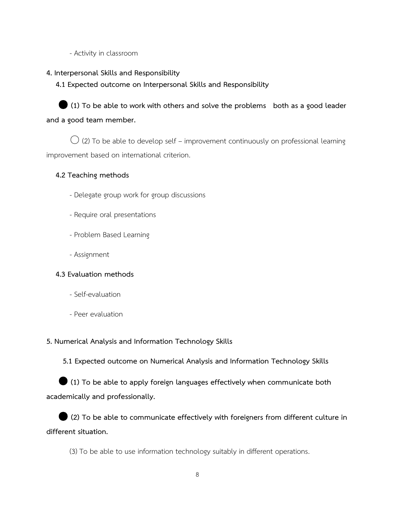- Activity in classroom

**4. Interpersonal Skills and Responsibility**

 **4.1 Expected outcome on Interpersonal Skills and Responsibility**



 $\bigcirc$  (2) To be able to develop self – improvement continuously on professional learning improvement based on international criterion.

## **4.2 Teaching methods**

- Delegate group work for group discussions
- Require oral presentations
- Problem Based Learning
- Assignment

## **4.3 Evaluation methods**

- Self-evaluation
- Peer evaluation

## **5. Numerical Analysis and Information Technology Skills**

 **5.1 Expected outcome on Numerical Analysis and Information Technology Skills**

● **(1) To be able to apply foreign languages effectively when communicate both academically and professionally.**

● **(2) To be able to communicate effectively with foreigners from different culture in different situation.**

(3) To be able to use information technology suitably in different operations.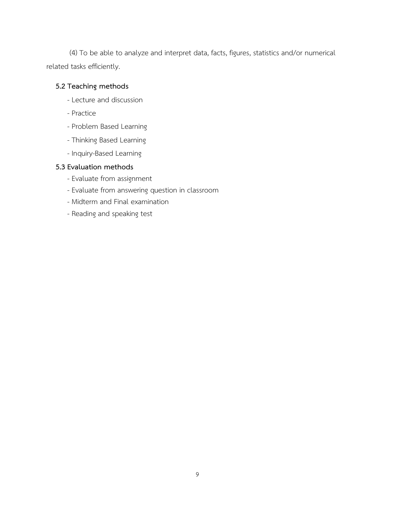(4) To be able to analyze and interpret data, facts, figures, statistics and/or numerical related tasks efficiently.

## **5.2 Teaching methods**

- Lecture and discussion
- Practice
- Problem Based Learning
- Thinking Based Learning
- Inquiry-Based Learning

- Evaluate from assignment
- Evaluate from answering question in classroom
- Midterm and Final examination
- Reading and speaking test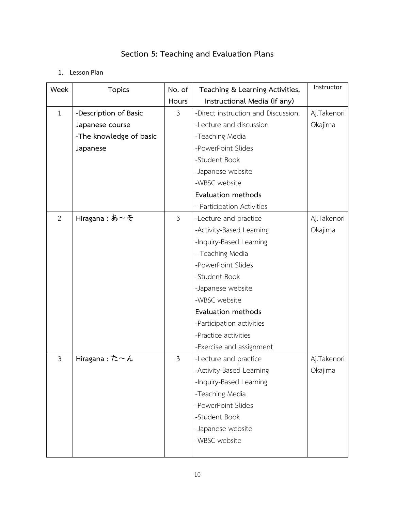# **Section 5: Teaching and Evaluation Plans**

## 1. Lesson Plan

| Week           | <b>Topics</b>           | No. of         | Teaching & Learning Activities,     | Instructor  |
|----------------|-------------------------|----------------|-------------------------------------|-------------|
|                |                         | Hours          | Instructional Media (if any)        |             |
| $\mathbf{1}$   | -Description of Basic   | $\mathfrak{Z}$ | -Direct instruction and Discussion. | Aj.Takenori |
|                | Japanese course         |                | -Lecture and discussion             | Okajima     |
|                | -The knowledge of basic |                | -Teaching Media                     |             |
|                | Japanese                |                | -PowerPoint Slides                  |             |
|                |                         |                | -Student Book                       |             |
|                |                         |                | -Japanese website                   |             |
|                |                         |                | -WBSC website                       |             |
|                |                         |                | Evaluation methods                  |             |
|                |                         |                | - Participation Activities          |             |
| $\overline{2}$ | Hiragana:あ~そ            | $\mathfrak{Z}$ | -Lecture and practice               | Aj.Takenori |
|                |                         |                | -Activity-Based Learning            | Okajima     |
|                |                         |                | -Inquiry-Based Learning             |             |
|                |                         |                | - Teaching Media                    |             |
|                |                         |                | -PowerPoint Slides                  |             |
|                |                         |                | -Student Book                       |             |
|                |                         |                | -Japanese website                   |             |
|                |                         |                | -WBSC website                       |             |
|                |                         |                | Evaluation methods                  |             |
|                |                         |                | -Participation activities           |             |
|                |                         |                | -Practice activities                |             |
|                |                         |                | -Exercise and assignment            |             |
| 3              | Hiragana:た~ん            | 3              | -Lecture and practice               | Aj.Takenori |
|                |                         |                | Activity-Based Learning             | Okajima     |
|                |                         |                | -Inquiry-Based Learning             |             |
|                |                         |                | -Teaching Media                     |             |
|                |                         |                | -PowerPoint Slides                  |             |
|                |                         |                | -Student Book                       |             |
|                |                         |                | -Japanese website                   |             |
|                |                         |                | -WBSC website                       |             |
|                |                         |                |                                     |             |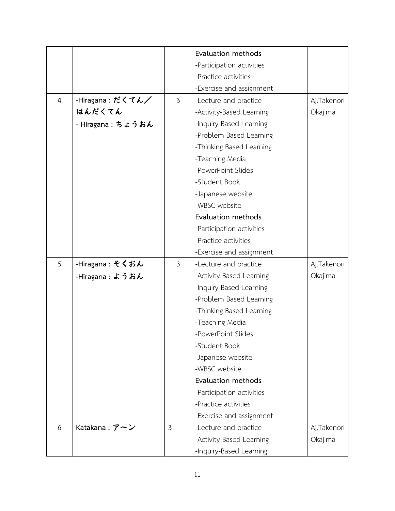|                |                    |                | Evaluation methods        |             |
|----------------|--------------------|----------------|---------------------------|-------------|
|                |                    |                | -Participation activities |             |
|                |                    |                | -Practice activities      |             |
|                |                    |                | -Exercise and assignment  |             |
| $\overline{4}$ | -Hiragana : だくてん/  | $\mathfrak{Z}$ | -Lecture and practice     | Aj.Takenori |
|                | はんだくてん             |                | -Activity-Based Learning  | Okajima     |
|                | - Hiragana : ちょうおん |                | -Inquiry-Based Learning   |             |
|                |                    |                | -Problem Based Learning   |             |
|                |                    |                | -Thinking Based Learning  |             |
|                |                    |                | -Teaching Media           |             |
|                |                    |                | -PowerPoint Slides        |             |
|                |                    |                | -Student Book             |             |
|                |                    |                | -Japanese website         |             |
|                |                    |                | -WBSC website             |             |
|                |                    |                | Evaluation methods        |             |
|                |                    |                | -Participation activities |             |
|                |                    |                | -Practice activities      |             |
|                |                    |                | -Exercise and assignment  |             |
| 5              | -Hiragana : そくおん   | 3              | -Lecture and practice     | Aj.Takenori |
|                | -Hiragana : ようおん   |                | -Activity-Based Learning  | Okajima     |
|                |                    |                | -Inquiry-Based Learning   |             |
|                |                    |                | -Problem Based Learning   |             |
|                |                    |                | -Thinking Based Learning  |             |
|                |                    |                | -Teaching Media           |             |
|                |                    |                | PowerPoint Slides         |             |
|                |                    |                | -Student Book             |             |
|                |                    |                | -Japanese website         |             |
|                |                    |                | -WBSC website             |             |
|                |                    |                | Evaluation methods        |             |
|                |                    |                | -Participation activities |             |
|                |                    |                | -Practice activities      |             |
|                |                    |                | -Exercise and assignment  |             |
| 6              | Katakana: $7 - y$  | $\mathfrak{Z}$ | -Lecture and practice     | Aj.Takenori |
|                |                    |                | -Activity-Based Learning  | Okajima     |
|                |                    |                | -Inquiry-Based Learning   |             |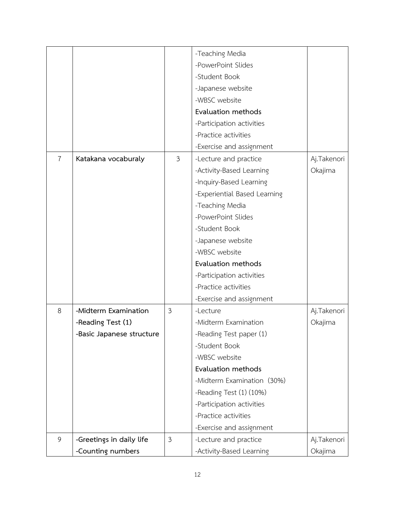|   |                           |                | -Teaching Media              |             |
|---|---------------------------|----------------|------------------------------|-------------|
|   |                           |                | -PowerPoint Slides           |             |
|   |                           |                | -Student Book                |             |
|   |                           |                | -Japanese website            |             |
|   |                           |                | -WBSC website                |             |
|   |                           |                | Evaluation methods           |             |
|   |                           |                | -Participation activities    |             |
|   |                           |                | -Practice activities         |             |
|   |                           |                | -Exercise and assignment     |             |
| 7 | Katakana vocaburaly       | 3              | -Lecture and practice        | Aj.Takenori |
|   |                           |                | -Activity-Based Learning     | Okajima     |
|   |                           |                | -Inquiry-Based Learning      |             |
|   |                           |                | -Experiential Based Learning |             |
|   |                           |                | -Teaching Media              |             |
|   |                           |                | -PowerPoint Slides           |             |
|   |                           |                | -Student Book                |             |
|   |                           |                | -Japanese website            |             |
|   |                           |                | -WBSC website                |             |
|   |                           |                | Evaluation methods           |             |
|   |                           |                | -Participation activities    |             |
|   |                           |                | -Practice activities         |             |
|   |                           |                | -Exercise and assignment     |             |
| 8 | -Midterm Examination      | $\mathfrak{Z}$ | -Lecture                     | Aj.Takenori |
|   | -Reading Test (1)         |                | -Midterm Examination         | Okajima     |
|   | -Basic Japanese structure |                | -Reading Test paper (1)      |             |
|   |                           |                | -Student Book                |             |
|   |                           |                | -WBSC website                |             |
|   |                           |                | Evaluation methods           |             |
|   |                           |                | -Midterm Examination (30%)   |             |
|   |                           |                | -Reading Test (1) (10%)      |             |
|   |                           |                | -Participation activities    |             |
|   |                           |                | -Practice activities         |             |
|   |                           |                | -Exercise and assignment     |             |
| 9 | -Greetings in daily life  | $\mathfrak{Z}$ | -Lecture and practice        | Aj.Takenori |
|   | -Counting numbers         |                | -Activity-Based Learning     | Okajima     |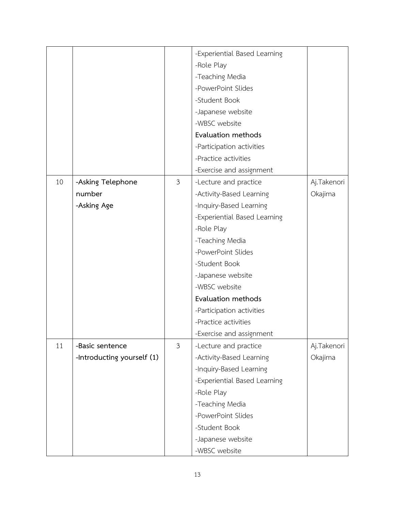|    |                            |                    | -Experiential Based Learning |             |
|----|----------------------------|--------------------|------------------------------|-------------|
|    |                            |                    |                              |             |
|    |                            |                    | -Role Play                   |             |
|    |                            |                    | -Teaching Media              |             |
|    |                            |                    | -PowerPoint Slides           |             |
|    |                            |                    | -Student Book                |             |
|    |                            |                    | -Japanese website            |             |
|    |                            |                    | -WBSC website                |             |
|    |                            |                    | Evaluation methods           |             |
|    |                            |                    | -Participation activities    |             |
|    |                            |                    | -Practice activities         |             |
|    |                            |                    | -Exercise and assignment     |             |
| 10 | -Asking Telephone          | $\mathfrak{Z}$     | -Lecture and practice        | Aj.Takenori |
|    | number                     |                    | -Activity-Based Learning     | Okajima     |
|    | -Asking Age                |                    | -Inquiry-Based Learning      |             |
|    |                            |                    | -Experiential Based Learning |             |
|    |                            |                    | -Role Play                   |             |
|    |                            |                    | -Teaching Media              |             |
|    |                            | -PowerPoint Slides |                              |             |
|    |                            |                    | -Student Book                |             |
|    |                            |                    | -Japanese website            |             |
|    |                            |                    | -WBSC website                |             |
|    |                            |                    | Evaluation methods           |             |
|    |                            |                    | -Participation activities    |             |
|    |                            |                    | -Practice activities         |             |
|    |                            |                    | -Exercise and assignment     |             |
| 11 | -Basic sentence            | $\mathfrak{Z}$     | -Lecture and practice        | Aj.Takenori |
|    | -Introducting yourself (1) |                    | -Activity-Based Learning     | Okajima     |
|    |                            |                    | -Inquiry-Based Learning      |             |
|    |                            |                    | -Experiential Based Learning |             |
|    |                            |                    | -Role Play                   |             |
|    |                            |                    |                              |             |
|    |                            |                    | -Teaching Media              |             |
|    |                            |                    | -PowerPoint Slides           |             |
|    |                            |                    | -Student Book                |             |
|    |                            |                    | -Japanese website            |             |
|    |                            |                    | -WBSC website                |             |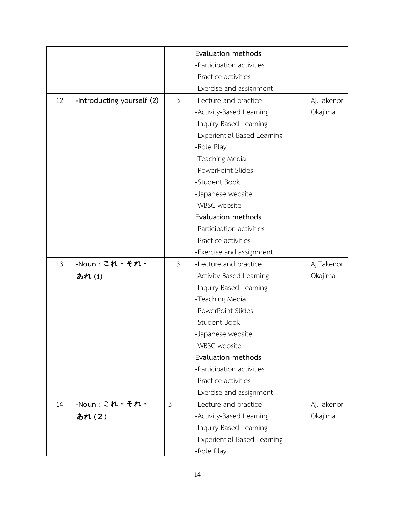|    |                            |                | Evaluation methods           |             |
|----|----------------------------|----------------|------------------------------|-------------|
|    |                            |                | -Participation activities    |             |
|    |                            |                | -Practice activities         |             |
|    |                            |                | -Exercise and assignment     |             |
| 12 |                            | $\mathfrak{Z}$ |                              |             |
|    | -Introducting yourself (2) |                | -Lecture and practice        | Aj.Takenori |
|    |                            |                | -Activity-Based Learning     | Okajima     |
|    |                            |                | -Inquiry-Based Learning      |             |
|    |                            |                | -Experiential Based Learning |             |
|    |                            |                | -Role Play                   |             |
|    |                            |                | -Teaching Media              |             |
|    |                            |                | -PowerPoint Slides           |             |
|    |                            |                | -Student Book                |             |
|    |                            |                | -Japanese website            |             |
|    |                            |                | -WBSC website                |             |
|    |                            |                | Evaluation methods           |             |
|    |                            |                | -Participation activities    |             |
|    |                            |                | -Practice activities         |             |
|    |                            |                | -Exercise and assignment     |             |
| 13 | $-Noun: 2N \cdot 5N$       | $\mathfrak{Z}$ | -Lecture and practice        | Aj.Takenori |
|    | あれ(1)                      |                | -Activity-Based Learning     | Okajima     |
|    |                            |                | -Inquiry-Based Learning      |             |
|    |                            |                | -Teaching Media              |             |
|    |                            |                | -PowerPoint Slides           |             |
|    |                            |                | -Student Book                |             |
|    |                            |                | -Japanese website            |             |
|    |                            |                | -WBSC website                |             |
|    |                            |                | Evaluation methods           |             |
|    |                            |                | -Participation activities    |             |
|    |                            |                | -Practice activities         |             |
|    |                            |                | -Exercise and assignment     |             |
| 14 | -Noun:これ・それ・               | $\mathfrak{Z}$ | -Lecture and practice        | Aj.Takenori |
|    | あれ(2)                      |                | -Activity-Based Learning     | Okajima     |
|    |                            |                | -Inquiry-Based Learning      |             |
|    |                            |                | -Experiential Based Learning |             |
|    |                            |                | -Role Play                   |             |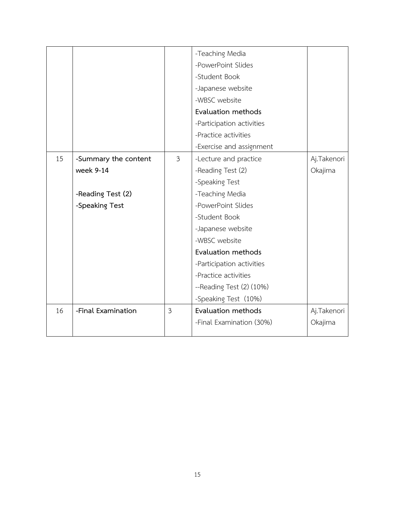|    |                      |                | -Teaching Media                |             |
|----|----------------------|----------------|--------------------------------|-------------|
|    |                      |                | -PowerPoint Slides             |             |
|    |                      |                | -Student Book                  |             |
|    |                      |                | -Japanese website              |             |
|    |                      |                | -WBSC website                  |             |
|    |                      |                | <b>Evaluation methods</b>      |             |
|    |                      |                | -Participation activities      |             |
|    |                      |                | -Practice activities           |             |
|    |                      |                | -Exercise and assignment       |             |
| 15 | -Summary the content | $\mathfrak{Z}$ | -Lecture and practice          | Aj.Takenori |
|    | week 9-14            |                | -Reading Test (2)              | Okajima     |
|    |                      |                | -Speaking Test                 |             |
|    | -Reading Test (2)    |                | -Teaching Media                |             |
|    | -Speaking Test       |                | -PowerPoint Slides             |             |
|    |                      |                | -Student Book                  |             |
|    |                      |                | -Japanese website              |             |
|    |                      |                | -WBSC website                  |             |
|    |                      |                | Evaluation methods             |             |
|    |                      |                | -Participation activities      |             |
|    |                      |                | -Practice activities           |             |
|    |                      |                | $-$ Reading Test $(2)$ $(10%)$ |             |
|    |                      |                | -Speaking Test (10%)           |             |
| 16 | -Final Examination   | $\mathfrak{Z}$ | Evaluation methods             | Aj.Takenori |
|    |                      |                | -Final Examination (30%)       | Okajima     |
|    |                      |                |                                |             |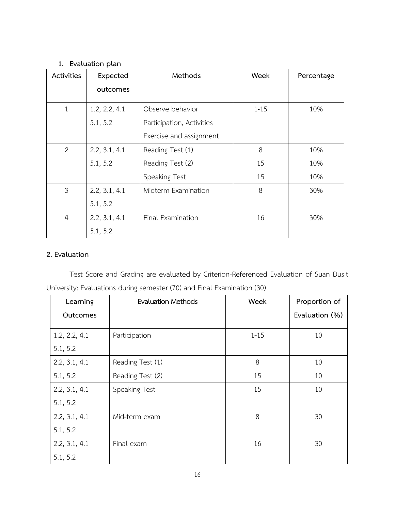## **1. Evaluation plan**

| Activities     | Expected      | Methods                   | Week     | Percentage |
|----------------|---------------|---------------------------|----------|------------|
|                | outcomes      |                           |          |            |
| 1              | 1.2, 2.2, 4.1 | Observe behavior          | $1 - 15$ | 10%        |
|                | 5.1, 5.2      | Participation, Activities |          |            |
|                |               | Exercise and assignment   |          |            |
| $\overline{2}$ | 2.2, 3.1, 4.1 | Reading Test (1)          | 8        | 10%        |
|                | 5.1, 5.2      | Reading Test (2)          | 15       | 10%        |
|                |               | Speaking Test             | 15       | 10%        |
| 3              | 2.2, 3.1, 4.1 | Midterm Examination       | 8        | 30%        |
|                | 5.1, 5.2      |                           |          |            |
| $\overline{4}$ | 2.2, 3.1, 4.1 | Final Examination         | 16       | 30%        |
|                | 5.1, 5.2      |                           |          |            |

#### **2. Evaluation**

Test Score and Grading are evaluated by Criterion-Referenced Evaluation of Suan Dusit University: Evaluations during semester (70) and Final Examination (30)

| Learning      | <b>Evaluation Methods</b> | Week     | Proportion of  |
|---------------|---------------------------|----------|----------------|
| Outcomes      |                           |          | Evaluation (%) |
| 1.2, 2.2, 4.1 | Participation             | $1 - 15$ | 10             |
| 5.1, 5.2      |                           |          |                |
| 2.2, 3.1, 4.1 | Reading Test (1)          | 8        | 10             |
| 5.1, 5.2      | Reading Test (2)          | 15       | 10             |
| 2.2, 3.1, 4.1 | Speaking Test             | 15       | 10             |
| 5.1, 5.2      |                           |          |                |
| 2.2, 3.1, 4.1 | Mid-term exam             | 8        | 30             |
| 5.1, 5.2      |                           |          |                |
| 2.2, 3.1, 4.1 | Final exam                | 16       | 30             |
| 5.1, 5.2      |                           |          |                |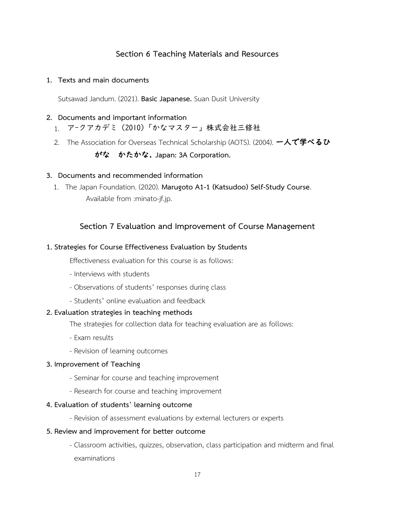## **Section 6 Teaching Materials and Resources**

#### **1. Texts and main documents**

Sutsawad Jandum. (2021). **Basic Japanese.** Suan Dusit University

#### **2. Documents and important information**

- 1. ア-クアカデミ (2010)「かなマスター」株式会社三修社
- 2. The Association for Overseas Technical Scholarship (AOTS). (2004). 一人で学べるひ

## がな かたかな. **Japan: 3A Corporation.**

#### **3. Documents and recommended information**

1. The Japan Foundation. (2020). **Marugoto A1-1 (Katsudoo) Self-Study Course**. Available from :minato-jf.jp.

## **Section 7 Evaluation and Improvement of Course Management**

#### **1. Strategies for Course Effectiveness Evaluation by Students**

Effectiveness evaluation for this course is as follows:

- Interviews with students
- Observations of students' responses during class
- Students' online evaluation and feedback

#### **2. Evaluation strategies in teaching methods**

The strategies for collection data for teaching evaluation are as follows:

- Exam results
- Revision of learning outcomes

#### **3. Improvement of Teaching**

- Seminar for course and teaching improvement
- Research for course and teaching improvement

#### **4. Evaluation of students' learning outcome**

- Revision of assessment evaluations by external lecturers or experts

#### **5. Review and improvement for better outcome**

- Classroom activities, quizzes, observation, class participation and midterm and final examinations